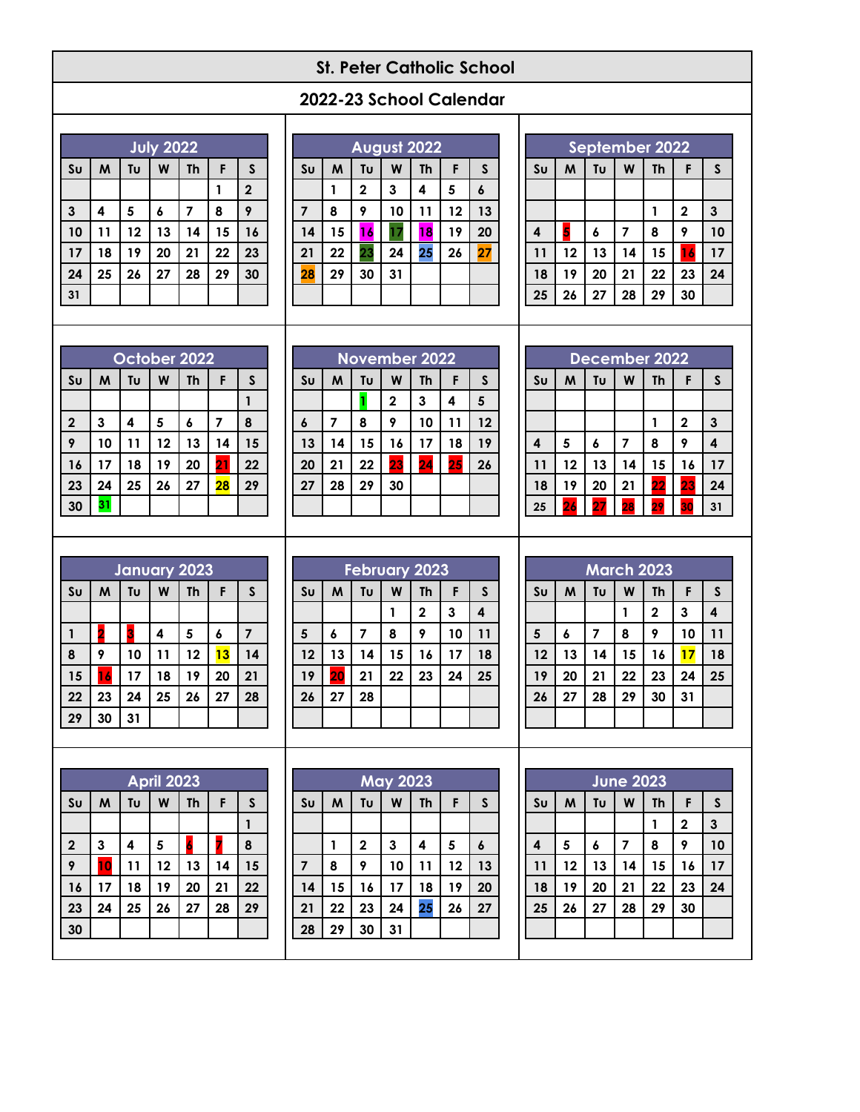# **St. Peter Catholic School**

# **2022-23 School Calendar**

|                | <b>July 2022</b> |    |    |           |    |             |  |  |
|----------------|------------------|----|----|-----------|----|-------------|--|--|
| S <sub>U</sub> | M                | Tυ | W  | <b>Th</b> | F  | S           |  |  |
|                |                  |    |    |           | 1  | $\mathbf 2$ |  |  |
| 3              | 4                | 5  | 6  | 7         | 8  | 9           |  |  |
| 10             | 11               | 12 | 13 | 14        | 15 | 16          |  |  |
| 17             | 18               | 19 | 20 | 21        | 22 | 23          |  |  |
| 24             | 25               | 26 | 27 | 28        | 29 | 30          |  |  |
| 31             |                  |    |    |           |    |             |  |  |

|                        | August 2022 |                         |    |           |    |    |  |  |
|------------------------|-------------|-------------------------|----|-----------|----|----|--|--|
| $\mathsf{S}\mathsf{u}$ | M           | Tυ                      | W  | <b>Th</b> | F  | S  |  |  |
|                        |             | $\overline{\mathbf{c}}$ | 3  | 4         | 5  | 6  |  |  |
| $\overline{7}$         | 8           | 9                       | 10 | 11        | 12 | 13 |  |  |
| 14                     | 15          | 16                      |    | 18        | 19 | 20 |  |  |
| 21                     | 22          | 23                      | 24 | 25        | 26 | 27 |  |  |
| 28                     | 29          | 30                      | 31 |           |    |    |  |  |
|                        |             |                         |    |           |    |    |  |  |

| September 2022   |                                                |    |    |    |              |    |  |  |
|------------------|------------------------------------------------|----|----|----|--------------|----|--|--|
| S <sub>U</sub>   | Tυ<br>$\mathsf{s}$<br><b>Th</b><br>M<br>W<br>F |    |    |    |              |    |  |  |
|                  |                                                |    |    |    |              |    |  |  |
|                  |                                                |    |    |    | $\mathbf{2}$ | 3  |  |  |
| $\boldsymbol{4}$ | l,                                             | 6  | 7  | 8  | 9            | 10 |  |  |
| 11               | 12                                             | 13 | 14 | 15 | 16           | 17 |  |  |
| 18               | 19                                             | 20 | 21 | 22 | 23           | 24 |  |  |
| 25               | 26                                             | 27 | 28 | 29 | 30           |    |  |  |

| October 2022   |    |    |    |           |                 |              |  |
|----------------|----|----|----|-----------|-----------------|--------------|--|
| S <sub>U</sub> | M  | Tυ | W  | <b>Th</b> | F               | $\mathsf{s}$ |  |
|                |    |    |    |           |                 |              |  |
| $\mathbf{2}$   | 3  | 4  | 5  | 6         | 7               | 8            |  |
| 9              | 10 | 11 | 12 | 13        | 14              | 15           |  |
| 16             | 17 | 18 | 19 | 20        | $\overline{21}$ | 22           |  |
| 23             | 24 | 25 | 26 | 27        | $\overline{28}$ | 29           |  |
| 30             | 31 |    |    |           |                 |              |  |

| <b>November 2022</b> |    |    |    |           |    |    |  |
|----------------------|----|----|----|-----------|----|----|--|
| S <sub>U</sub>       | M  | Tu | W  | <b>Th</b> | F  | S  |  |
|                      |    |    | 2  | 3         | 4  | 5  |  |
| 6                    | 7  | 8  | 9  | 10        | 11 | 12 |  |
| 13                   | 14 | 15 | 16 | 17        | 18 | 19 |  |
| 20                   | 21 | 22 | 23 | 24        | 25 | 26 |  |
| 27                   | 28 | 29 | 30 |           |    |    |  |
|                      |    |    |    |           |    |    |  |

| December 2022           |    |    |    |           |             |              |  |  |
|-------------------------|----|----|----|-----------|-------------|--------------|--|--|
| S <sub>U</sub>          | M  | Tυ | W  | <b>Th</b> | F           | $\mathsf{s}$ |  |  |
|                         |    |    |    |           |             |              |  |  |
|                         |    |    |    |           | $\mathbf 2$ | 3            |  |  |
| $\overline{\mathbf{4}}$ | 5  | 6  | 7  | 8         | 9           | 4            |  |  |
| 11                      | 12 | 13 | 14 | 15        | 16          | 17           |  |  |
| 18                      | 19 | 20 | 21 | 22        | 23          | 24           |  |  |
| 25                      | 26 | 27 | 28 | 29        | 30          | 31           |  |  |

| <b>January 2023</b> |    |    |    |    |    |              |  |
|---------------------|----|----|----|----|----|--------------|--|
| S <sub>U</sub>      | M  | Tυ | W  | Th | F  | $\mathsf{s}$ |  |
|                     |    |    |    |    |    |              |  |
|                     | 2  | 3  | 4  | 5  | 6  |              |  |
| 8                   | 9  | 10 | 11 | 12 | 13 | 14           |  |
| 15                  | 16 | 17 | 18 | 19 | 20 | 21           |  |
| 22                  | 23 | 24 | 25 | 26 | 27 | 28           |  |
| 29                  | 30 | 31 |    |    |    |              |  |

| <b>February 2023</b> |                 |    |    |              |    |    |  |  |
|----------------------|-----------------|----|----|--------------|----|----|--|--|
| S <sub>U</sub>       | M               | Tυ | W  | Th           | F  | S  |  |  |
|                      |                 |    |    | $\mathbf{2}$ | 3  | 4  |  |  |
| 5                    | 6               | 7  | 8  | 9            | 10 | 11 |  |  |
| 12                   | 13              | 14 | 15 | 16           | 17 | 18 |  |  |
| 19                   | $\overline{20}$ | 21 | 22 | 23           | 24 | 25 |  |  |
| 26                   | 27              | 28 |    |              |    |    |  |  |
|                      |                 |    |    |              |    |    |  |  |

| <b>March 2023</b> |    |    |    |           |    |              |  |  |
|-------------------|----|----|----|-----------|----|--------------|--|--|
| S <sub>U</sub>    | M  | Tυ | W  | <b>Th</b> | F  | $\mathsf{s}$ |  |  |
|                   |    |    |    | 2         | 3  | 4            |  |  |
| $5\phantom{1}$    | 6  | 7  | 8  | 9         | 10 | 11           |  |  |
| 12                | 13 | 14 | 15 | 16        | 17 | 18           |  |  |
| 19                | 20 | 21 | 22 | 23        | 24 | 25           |  |  |
| 26                | 27 | 28 | 29 | 30        | 31 |              |  |  |
|                   |    |    |    |           |    |              |  |  |

| April 2023     |    |    |    |           |    |    |  |
|----------------|----|----|----|-----------|----|----|--|
| S <sub>U</sub> | M  | Tυ | W  | <b>Th</b> | F  | S  |  |
|                |    |    |    |           |    |    |  |
| $\mathbf{2}$   | 3  | 4  | 5  | Á         |    | 8  |  |
| 9              | 10 | 11 | 12 | 13        | 14 | 15 |  |
| 16             | 17 | 18 | 19 | 20        | 21 | 22 |  |
| 23             | 24 | 25 | 26 | 27        | 28 | 29 |  |
| 30             |    |    |    |           |    |    |  |

|                | <b>May 2023</b> |             |    |           |    |              |  |  |
|----------------|-----------------|-------------|----|-----------|----|--------------|--|--|
| S <sub>U</sub> | M               | Tυ          | W  | <b>Th</b> | F  | $\mathsf{s}$ |  |  |
|                |                 |             |    |           |    |              |  |  |
|                |                 | $\mathbf 2$ | 3  | 4         | 5  | 6            |  |  |
| $\overline{7}$ | 8               | 9           | 10 | 11        | 12 | 13           |  |  |
| 14             | 15              | 16          | 17 | 18        | 19 | 20           |  |  |
| 21             | 22              | 23          | 24 | 25        | 26 | 27           |  |  |
| 28             | 29              | 30          | 31 |           |    |              |  |  |

|                         | <b>June 2023</b> |    |    |           |             |              |  |  |  |
|-------------------------|------------------|----|----|-----------|-------------|--------------|--|--|--|
| S <sub>U</sub>          | M                | Tυ | W  | <b>Th</b> | F           | $\mathsf{s}$ |  |  |  |
|                         |                  |    |    | 1         | $\mathbf 2$ | 3            |  |  |  |
| $\overline{\mathbf{4}}$ | 5                | 6  | 7  | 8         | 9           | 10           |  |  |  |
| 11                      | 12               | 13 | 14 | 15        | 16          | 17           |  |  |  |
| 18                      | 19               | 20 | 21 | 22        | 23          | 24           |  |  |  |
| 25                      | 26               | 27 | 28 | 29        | 30          |              |  |  |  |
|                         |                  |    |    |           |             |              |  |  |  |